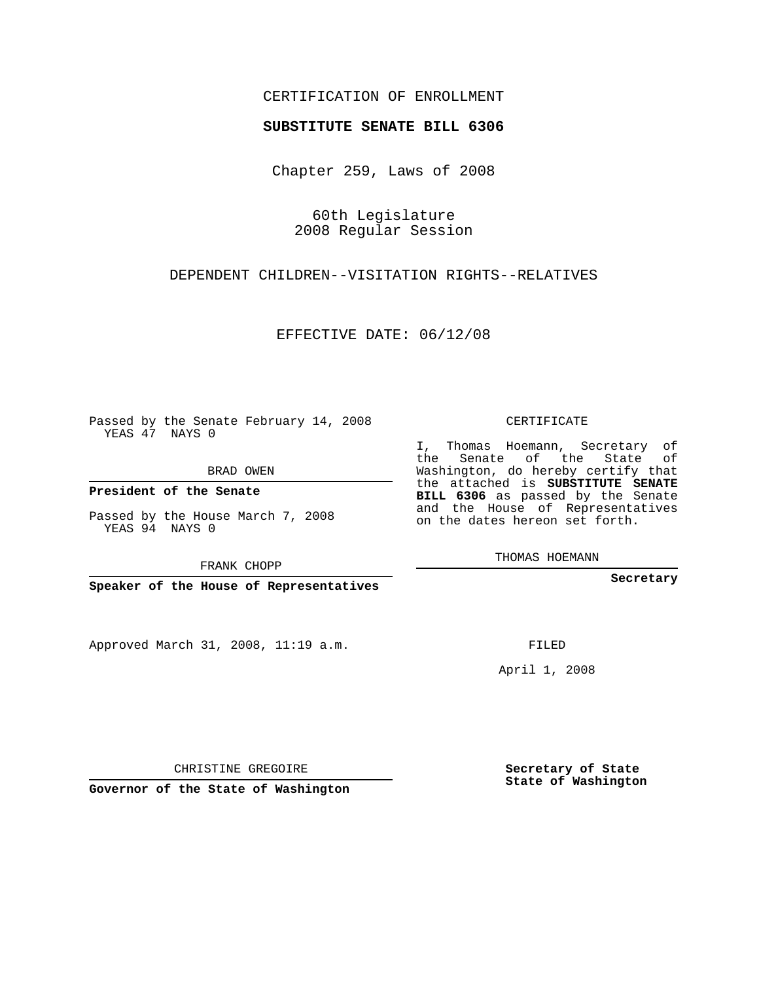## CERTIFICATION OF ENROLLMENT

## **SUBSTITUTE SENATE BILL 6306**

Chapter 259, Laws of 2008

60th Legislature 2008 Regular Session

DEPENDENT CHILDREN--VISITATION RIGHTS--RELATIVES

EFFECTIVE DATE: 06/12/08

Passed by the Senate February 14, 2008 YEAS 47 NAYS 0

BRAD OWEN

**President of the Senate**

Passed by the House March 7, 2008 YEAS 94 NAYS 0

FRANK CHOPP

**Speaker of the House of Representatives**

Approved March 31, 2008, 11:19 a.m.

CERTIFICATE

I, Thomas Hoemann, Secretary of the Senate of the State of Washington, do hereby certify that the attached is **SUBSTITUTE SENATE BILL 6306** as passed by the Senate and the House of Representatives on the dates hereon set forth.

THOMAS HOEMANN

**Secretary**

FILED

April 1, 2008

CHRISTINE GREGOIRE

**Governor of the State of Washington**

**Secretary of State State of Washington**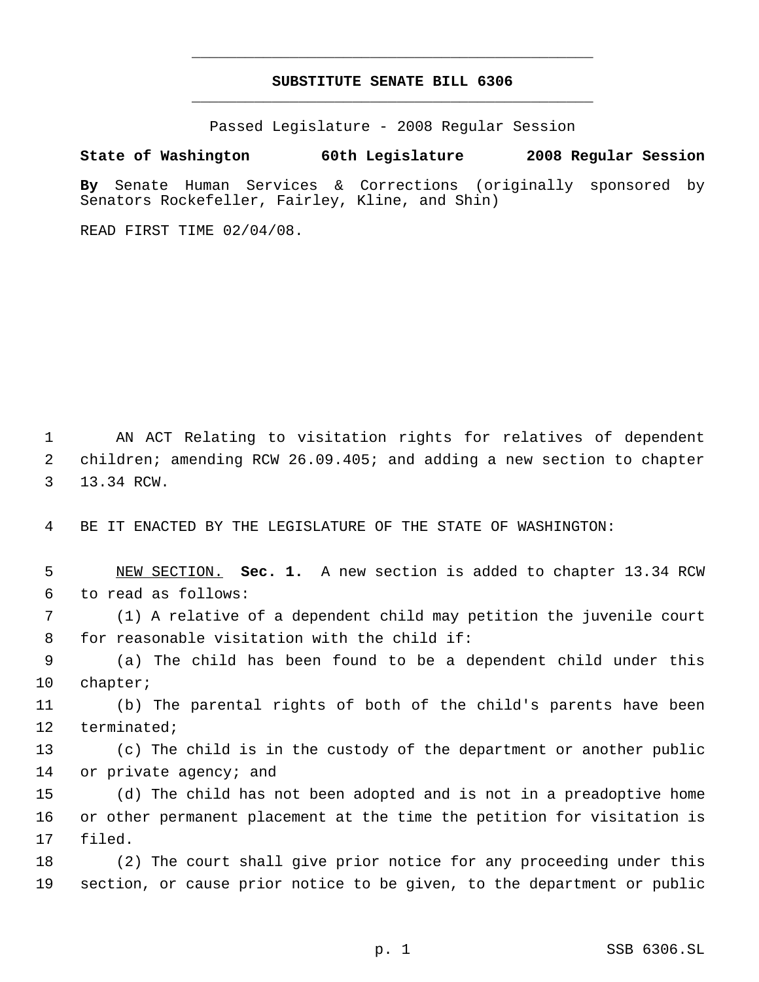## **SUBSTITUTE SENATE BILL 6306** \_\_\_\_\_\_\_\_\_\_\_\_\_\_\_\_\_\_\_\_\_\_\_\_\_\_\_\_\_\_\_\_\_\_\_\_\_\_\_\_\_\_\_\_\_

\_\_\_\_\_\_\_\_\_\_\_\_\_\_\_\_\_\_\_\_\_\_\_\_\_\_\_\_\_\_\_\_\_\_\_\_\_\_\_\_\_\_\_\_\_

Passed Legislature - 2008 Regular Session

## **State of Washington 60th Legislature 2008 Regular Session**

**By** Senate Human Services & Corrections (originally sponsored by Senators Rockefeller, Fairley, Kline, and Shin)

READ FIRST TIME 02/04/08.

 AN ACT Relating to visitation rights for relatives of dependent children; amending RCW 26.09.405; and adding a new section to chapter 13.34 RCW.

BE IT ENACTED BY THE LEGISLATURE OF THE STATE OF WASHINGTON:

 NEW SECTION. **Sec. 1.** A new section is added to chapter 13.34 RCW to read as follows:

 (1) A relative of a dependent child may petition the juvenile court for reasonable visitation with the child if:

 (a) The child has been found to be a dependent child under this chapter;

 (b) The parental rights of both of the child's parents have been terminated;

 (c) The child is in the custody of the department or another public 14 or private agency; and

 (d) The child has not been adopted and is not in a preadoptive home or other permanent placement at the time the petition for visitation is filed.

 (2) The court shall give prior notice for any proceeding under this section, or cause prior notice to be given, to the department or public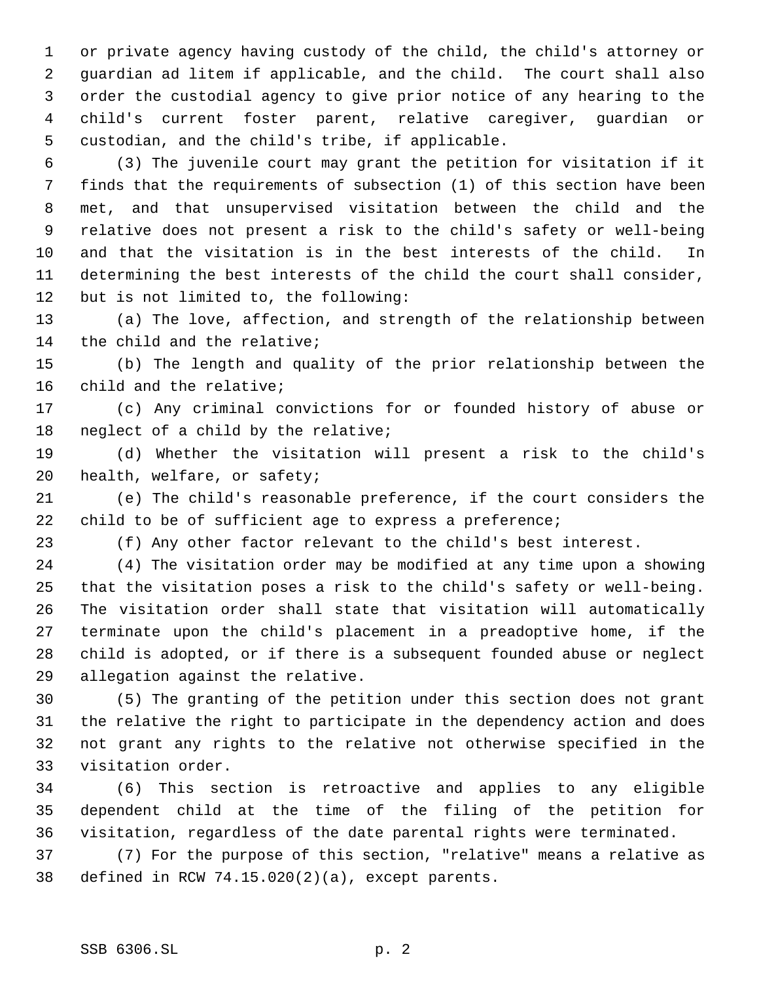or private agency having custody of the child, the child's attorney or guardian ad litem if applicable, and the child. The court shall also order the custodial agency to give prior notice of any hearing to the child's current foster parent, relative caregiver, guardian or custodian, and the child's tribe, if applicable.

 (3) The juvenile court may grant the petition for visitation if it finds that the requirements of subsection (1) of this section have been met, and that unsupervised visitation between the child and the relative does not present a risk to the child's safety or well-being and that the visitation is in the best interests of the child. In determining the best interests of the child the court shall consider, but is not limited to, the following:

 (a) The love, affection, and strength of the relationship between the child and the relative;

 (b) The length and quality of the prior relationship between the child and the relative;

 (c) Any criminal convictions for or founded history of abuse or neglect of a child by the relative;

 (d) Whether the visitation will present a risk to the child's health, welfare, or safety;

 (e) The child's reasonable preference, if the court considers the child to be of sufficient age to express a preference;

(f) Any other factor relevant to the child's best interest.

 (4) The visitation order may be modified at any time upon a showing that the visitation poses a risk to the child's safety or well-being. The visitation order shall state that visitation will automatically terminate upon the child's placement in a preadoptive home, if the child is adopted, or if there is a subsequent founded abuse or neglect allegation against the relative.

 (5) The granting of the petition under this section does not grant the relative the right to participate in the dependency action and does not grant any rights to the relative not otherwise specified in the visitation order.

 (6) This section is retroactive and applies to any eligible dependent child at the time of the filing of the petition for visitation, regardless of the date parental rights were terminated.

 (7) For the purpose of this section, "relative" means a relative as defined in RCW 74.15.020(2)(a), except parents.